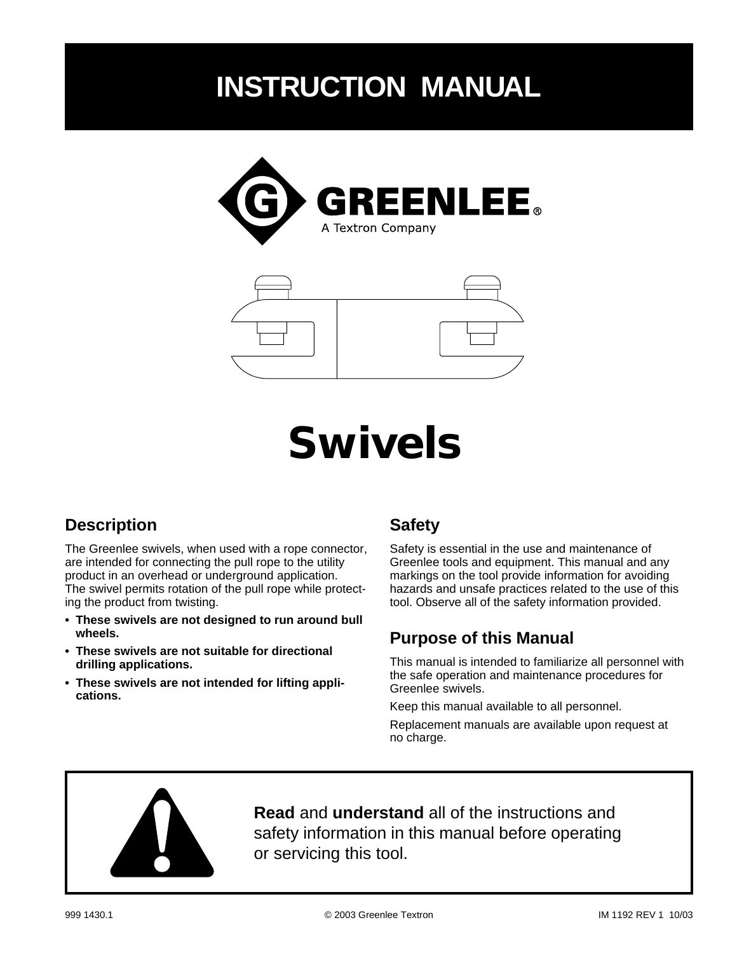# **INSTRUCTION MANUAL**





# **Swivels**

#### **Description**

The Greenlee swivels, when used with a rope connector, are intended for connecting the pull rope to the utility product in an overhead or underground application. The swivel permits rotation of the pull rope while protecting the product from twisting.

- **These swivels are not designed to run around bull wheels.**
- **These swivels are not suitable for directional drilling applications.**
- **These swivels are not intended for lifting applications.**

#### **Safety**

Safety is essential in the use and maintenance of Greenlee tools and equipment. This manual and any markings on the tool provide information for avoiding hazards and unsafe practices related to the use of this tool. Observe all of the safety information provided.

#### **Purpose of this Manual**

This manual is intended to familiarize all personnel with the safe operation and maintenance procedures for Greenlee swivels.

Keep this manual available to all personnel.

Replacement manuals are available upon request at no charge.



**Read** and **understand** all of the instructions and safety information in this manual before operating or servicing this tool.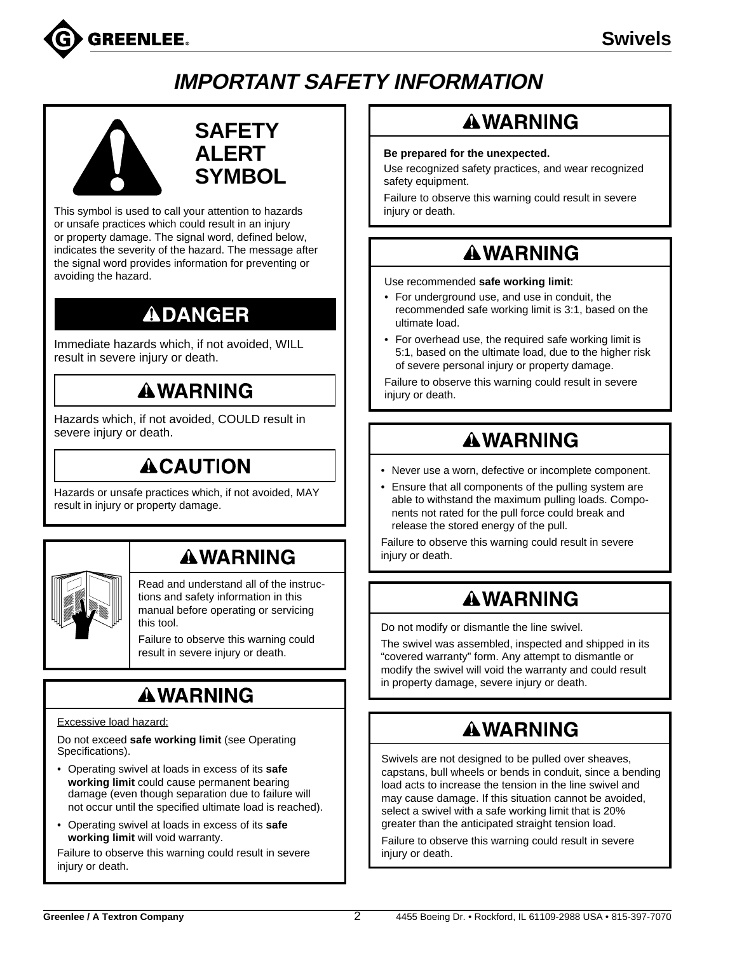

# **IMPORTANT SAFETY INFORMATION**



#### **SAFETY ALERT SYMBOL**

This symbol is used to call your attention to hazards or unsafe practices which could result in an injury or property damage. The signal word, defined below, indicates the severity of the hazard. The message after the signal word provides information for preventing or avoiding the hazard.

# **ADANGER**

Immediate hazards which, if not avoided, WILL result in severe injury or death.

### **AWARNING**

Hazards which, if not avoided, COULD result in severe injury or death.

## **ACAUTION**

Hazards or unsafe practices which, if not avoided, MAY result in injury or property damage.

## **AWARNING**

Read and understand all of the instructions and safety information in this manual before operating or servicing this tool.

Failure to observe this warning could result in severe injury or death.

# **AWARNING**

#### Excessive load hazard:

Do not exceed **safe working limit** (see Operating Specifications).

- Operating swivel at loads in excess of its **safe working limit** could cause permanent bearing damage (even though separation due to failure will not occur until the specified ultimate load is reached).
- Operating swivel at loads in excess of its **safe working limit** will void warranty.

Failure to observe this warning could result in severe injury or death.

### **AWARNING**

#### **Be prepared for the unexpected.**

Use recognized safety practices, and wear recognized safety equipment.

Failure to observe this warning could result in severe injury or death.

#### **AWARNING**

Use recommended **safe working limit**:

- For underground use, and use in conduit, the recommended safe working limit is 3:1, based on the ultimate load.
- For overhead use, the required safe working limit is 5:1, based on the ultimate load, due to the higher risk of severe personal injury or property damage.

Failure to observe this warning could result in severe injury or death.

# **AWARNING**

- Never use a worn, defective or incomplete component.
- Ensure that all components of the pulling system are able to withstand the maximum pulling loads. Components not rated for the pull force could break and release the stored energy of the pull.

Failure to observe this warning could result in severe injury or death.

# **AWARNING**

Do not modify or dismantle the line swivel.

The swivel was assembled, inspected and shipped in its "covered warranty" form. Any attempt to dismantle or modify the swivel will void the warranty and could result in property damage, severe injury or death.

### **AWARNING**

Swivels are not designed to be pulled over sheaves, capstans, bull wheels or bends in conduit, since a bending load acts to increase the tension in the line swivel and may cause damage. If this situation cannot be avoided, select a swivel with a safe working limit that is 20% greater than the anticipated straight tension load.

Failure to observe this warning could result in severe injury or death.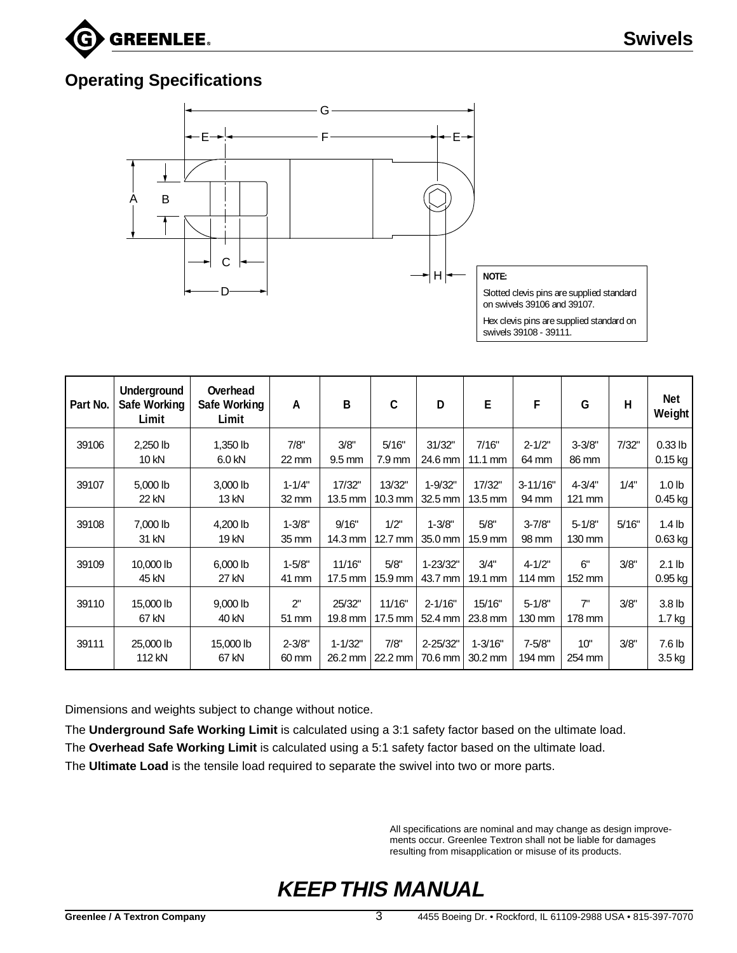

#### **Operating Specifications**



| Part No. | Underground<br>Safe Working<br>Limit | Overhead<br>Safe Working<br>Limit | Α                   | B                           | $\mathfrak c$        | D                       | E                          | F                     | G                      | H     | Net<br>Weight                  |
|----------|--------------------------------------|-----------------------------------|---------------------|-----------------------------|----------------------|-------------------------|----------------------------|-----------------------|------------------------|-------|--------------------------------|
| 39106    | 2,250 lb<br>10 kN                    | 1,350 lb<br>6.0 kN                | 7/8"<br>22 mm       | 3/8"<br>$9.5$ mm            | 5/16"<br>7.9 mm      | 31/32"<br>24.6 mm       | 7/16"<br>$11.1 \text{ mm}$ | $2 - 1/2"$<br>64 mm   | $3 - 3/8"$<br>86 mm    | 7/32" | $0.33$ lb<br>$0.15$ kg         |
| 39107    | 5,000 lb<br>22 kN                    | 3,000 lb<br>13 kN                 | $1 - 1/4"$<br>32 mm | 17/32"<br>13.5 mm           | 13/32"<br>$10.3$ mm  | $1 - 9/32"$<br>32.5 mm  | 17/32"<br>13.5 mm          | $3 - 11/16"$<br>94 mm | $4 - 3/4"$<br>$121$ mm | 1/4"  | 1.0 <sub>lb</sub><br>$0.45$ kg |
| 39108    | 7,000 lb<br>31 kN                    | 4,200 lb<br>19 kN                 | $1 - 3/8"$<br>35 mm | 9/16"<br>14.3 mm            | $1/2$ "<br>$12.7$ mm | $1 - 3/8"$<br>35.0 mm   | 5/8"<br>15.9 mm            | $3 - 7/8"$<br>98 mm   | $5 - 1/8"$<br>130 mm   | 5/16" | $1.4$ lb<br>$0.63$ kg          |
| 39109    | 10,000 lb<br>45 kN                   | $6,000$ lb<br>27 kN               | $1 - 5/8"$<br>41 mm | 11/16"<br>$17.5 \text{ mm}$ | 5/8"<br>15.9 mm      | $1 - 23/32"$<br>43.7 mm | 3/4"<br>$19.1$ mm          | $4 - 1/2"$<br>114 mm  | 6"<br>$152 \text{ mm}$ | 3/8"  | 2.1 <sub>lb</sub><br>$0.95$ kg |
| 39110    | 15,000 lb<br>67 kN                   | 9,000 lb<br>40 kN                 | 2"<br>51 mm         | 25/32"<br>19.8 mm           | 11/16"<br>17.5 mm    | $2 - 1/16"$<br>52.4 mm  | 15/16"<br>23.8 mm          | $5 - 1/8"$<br>130 mm  | 7"<br>178 mm           | 3/8"  | 3.8 <sub>lb</sub><br>$1.7$ kg  |
| 39111    | 25,000 lb<br>112 kN                  | 15,000 lb<br>67 kN                | $2 - 3/8"$<br>60 mm | $1 - 1/32"$<br>$26.2$ mm    | 7/8"<br>$22.2$ mm    | $2 - 25/32"$<br>70.6 mm | $1 - 3/16"$<br>$30.2$ mm   | $7 - 5/8"$<br>194 mm  | 10"<br>254 mm          | 3/8"  | 7.6 <sub>lb</sub><br>$3.5$ kg  |

Dimensions and weights subject to change without notice.

The **Underground Safe Working Limit** is calculated using a 3:1 safety factor based on the ultimate load. The **Overhead Safe Working Limit** is calculated using a 5:1 safety factor based on the ultimate load. The **Ultimate Load** is the tensile load required to separate the swivel into two or more parts.

> All specifications are nominal and may change as design improvements occur. Greenlee Textron shall not be liable for damages resulting from misapplication or misuse of its products.

## **KEEP THIS MANUAL**